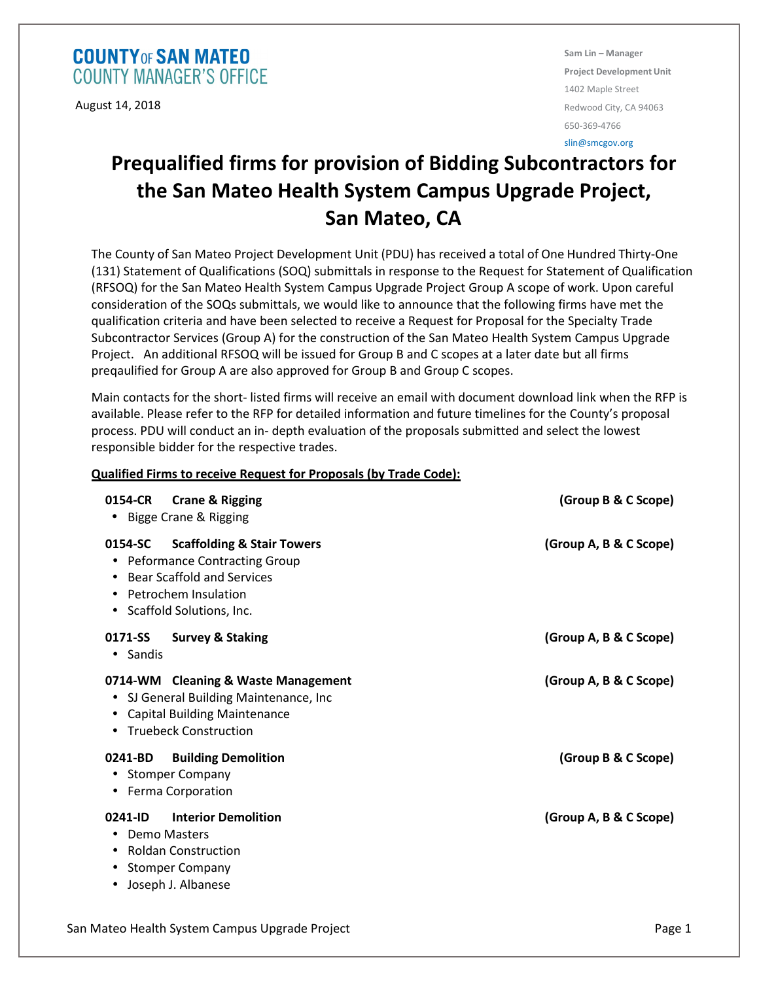## **COUNTY OF SAN MATEO COUNTY MANAGER'S OFFICE**

August 14, 2018

**Sam Lin – Manager Project Development Unit**  1402 Maple Street Redwood City, CA 94063 650-369-4766

## slin@smcgov.org

## **Prequalified firms for provision of Bidding Subcontractors for the San Mateo Health System Campus Upgrade Project, San Mateo, CA**

The County of San Mateo Project Development Unit (PDU) has received a total of One Hundred Thirty-One (131) Statement of Qualifications (SOQ) submittals in response to the Request for Statement of Qualification (RFSOQ) for the San Mateo Health System Campus Upgrade Project Group A scope of work. Upon careful consideration of the SOQs submittals, we would like to announce that the following firms have met the qualification criteria and have been selected to receive a Request for Proposal for the Specialty Trade Subcontractor Services (Group A) for the construction of the San Mateo Health System Campus Upgrade Project. An additional RFSOQ will be issued for Group B and C scopes at a later date but all firms preqaulified for Group A are also approved for Group B and Group C scopes.

Main contacts for the short- listed firms will receive an email with document download link when the RFP is available. Please refer to the RFP for detailed information and future timelines for the County's proposal process. PDU will conduct an in- depth evaluation of the proposals submitted and select the lowest responsible bidder for the respective trades.

## **Qualified Firms to receive Request for Proposals (by Trade Code):**

| 0154-CR<br><b>Crane &amp; Rigging</b><br>Bigge Crane & Rigging<br>$\bullet$                                                                                                                                     | (Group B & C Scope)    |
|-----------------------------------------------------------------------------------------------------------------------------------------------------------------------------------------------------------------|------------------------|
| <b>Scaffolding &amp; Stair Towers</b><br>0154-SC<br><b>Peformance Contracting Group</b><br>٠<br><b>Bear Scaffold and Services</b><br>Petrochem Insulation<br>$\bullet$<br>Scaffold Solutions, Inc.<br>$\bullet$ | (Group A, B & C Scope) |
| 0171-SS<br><b>Survey &amp; Staking</b><br>• Sandis                                                                                                                                                              | (Group A, B & C Scope) |
| 0714-WM Cleaning & Waste Management<br>SJ General Building Maintenance, Inc<br>$\bullet$<br><b>Capital Building Maintenance</b><br><b>Truebeck Construction</b><br>٠                                            | (Group A, B & C Scope) |
| <b>Building Demolition</b><br>0241-BD<br><b>Stomper Company</b><br>٠<br>Ferma Corporation<br>٠                                                                                                                  | (Group B & C Scope)    |
| <b>Interior Demolition</b><br>0241-ID<br><b>Demo Masters</b><br><b>Roldan Construction</b><br>٠<br><b>Stomper Company</b><br>Joseph J. Albanese<br>٠                                                            | (Group A, B & C Scope) |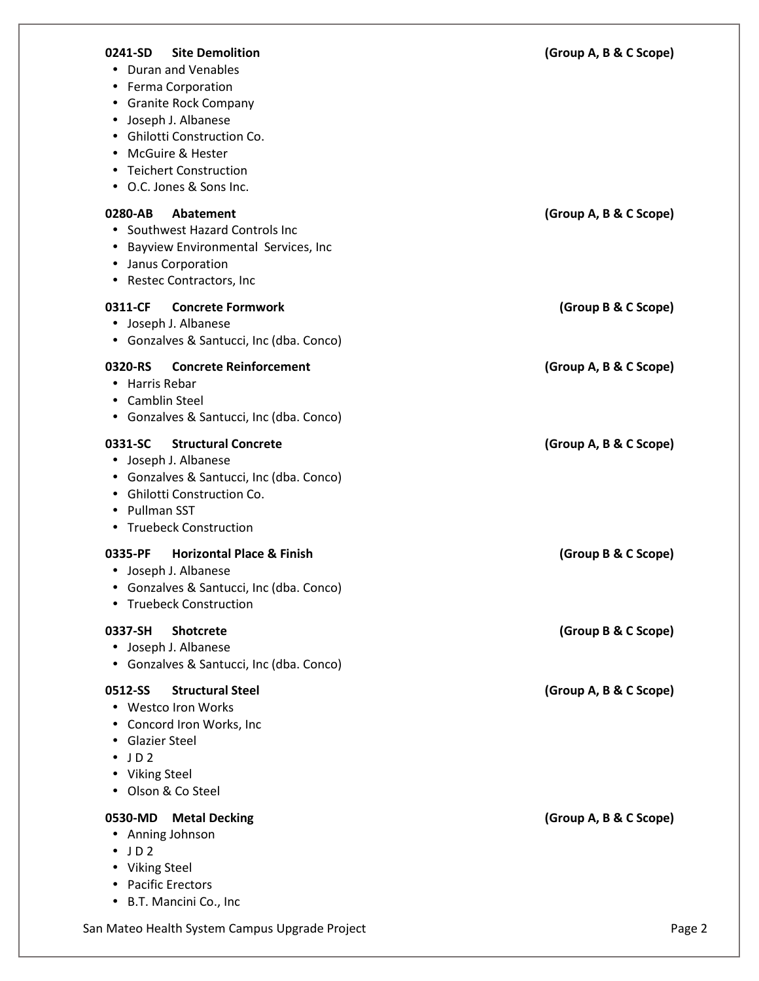| <b>Site Demolition</b><br>0241-SD<br>• Duran and Venables<br>• Ferma Corporation<br>• Granite Rock Company<br>Joseph J. Albanese<br>$\bullet$<br>• Ghilotti Construction Co.<br>McGuire & Hester<br><b>Teichert Construction</b><br>• O.C. Jones & Sons Inc. | (Group A, B & C Scope) |
|--------------------------------------------------------------------------------------------------------------------------------------------------------------------------------------------------------------------------------------------------------------|------------------------|
| 0280-AB<br>Abatement<br>• Southwest Hazard Controls Inc<br>Bayview Environmental Services, Inc<br>$\bullet$<br>• Janus Corporation<br>• Restec Contractors, Inc                                                                                              | (Group A, B & C Scope) |
| 0311-CF<br><b>Concrete Formwork</b><br>• Joseph J. Albanese<br>• Gonzalves & Santucci, Inc (dba. Conco)                                                                                                                                                      | (Group B & C Scope)    |
| <b>Concrete Reinforcement</b><br>0320-RS<br>Harris Rebar<br>• Camblin Steel<br>• Gonzalves & Santucci, Inc (dba. Conco)                                                                                                                                      | (Group A, B & C Scope) |
| 0331-SC<br><b>Structural Concrete</b><br>• Joseph J. Albanese<br>• Gonzalves & Santucci, Inc (dba. Conco)<br>• Ghilotti Construction Co.<br>Pullman SST<br>• Truebeck Construction                                                                           | (Group A, B & C Scope) |
| <b>Horizontal Place &amp; Finish</b><br>0335-PF<br>• Joseph J. Albanese<br>• Gonzalves & Santucci, Inc (dba. Conco)<br>• Truebeck Construction                                                                                                               | (Group B & C Scope)    |
| 0337-SH<br><b>Shotcrete</b><br>• Joseph J. Albanese<br>• Gonzalves & Santucci, Inc (dba. Conco)                                                                                                                                                              | (Group B & C Scope)    |
| <b>Structural Steel</b><br>0512-SS<br>• Westco Iron Works<br>• Concord Iron Works, Inc<br><b>Glazier Steel</b><br>$\bullet$ JD2<br>• Viking Steel<br>• Olson & Co Steel                                                                                      | (Group A, B & C Scope) |
| 0530-MD Metal Decking<br>• Anning Johnson<br>$\bullet$ JD2<br>• Viking Steel<br>• Pacific Erectors<br>• B.T. Mancini Co., Inc                                                                                                                                | (Group A, B & C Scope) |
| San Mateo Health System Campus Upgrade Project                                                                                                                                                                                                               | Page 2                 |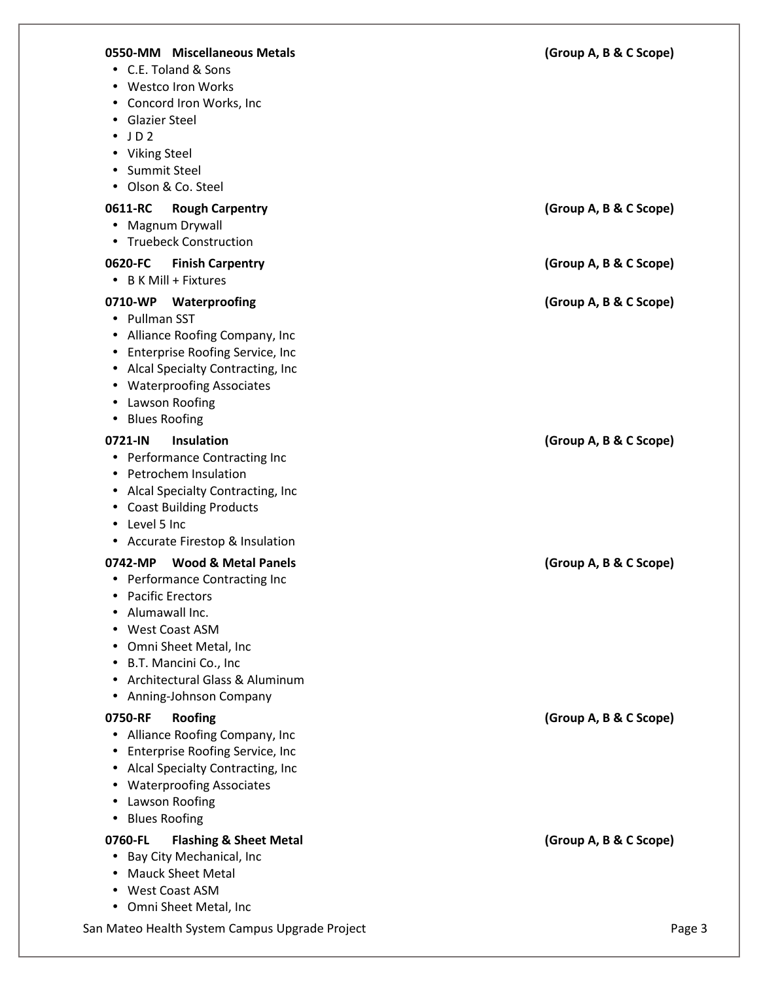| 0550-MM Miscellaneous Metals<br>• C.E. Toland & Sons<br>• Westco Iron Works<br>• Concord Iron Works, Inc<br><b>Glazier Steel</b><br>JD2<br>• Viking Steel<br>Summit Steel<br>$\bullet$<br>• Olson & Co. Steel                                                               | (Group A, B & C Scope) |
|-----------------------------------------------------------------------------------------------------------------------------------------------------------------------------------------------------------------------------------------------------------------------------|------------------------|
| 0611-RC<br><b>Rough Carpentry</b><br>• Magnum Drywall<br>• Truebeck Construction                                                                                                                                                                                            | (Group A, B & C Scope) |
| 0620-FC<br><b>Finish Carpentry</b><br>$\bullet$ B K Mill + Fixtures                                                                                                                                                                                                         | (Group A, B & C Scope) |
| 0710-WP<br>Waterproofing<br>• Pullman SST<br>• Alliance Roofing Company, Inc<br>• Enterprise Roofing Service, Inc<br>• Alcal Specialty Contracting, Inc<br>• Waterproofing Associates<br>• Lawson Roofing<br>• Blues Roofing                                                | (Group A, B & C Scope) |
| Insulation<br>0721-IN<br>• Performance Contracting Inc<br>Petrochem Insulation<br>$\bullet$<br>• Alcal Specialty Contracting, Inc<br><b>Coast Building Products</b><br>• Level 5 Inc<br>• Accurate Firestop & Insulation                                                    | (Group A, B & C Scope) |
| <b>Wood &amp; Metal Panels</b><br>0742-MP<br>• Performance Contracting Inc<br><b>Pacific Erectors</b><br>Alumawall Inc.<br><b>West Coast ASM</b><br>Omni Sheet Metal, Inc<br>B.T. Mancini Co., Inc<br>Architectural Glass & Aluminum<br>Anning-Johnson Company<br>$\bullet$ | (Group A, B & C Scope) |
| 0750-RF<br><b>Roofing</b><br>Alliance Roofing Company, Inc<br>$\bullet$<br>Enterprise Roofing Service, Inc<br>Alcal Specialty Contracting, Inc<br><b>Waterproofing Associates</b><br>Lawson Roofing<br><b>Blues Roofing</b><br>٠                                            | (Group A, B & C Scope) |
| 0760-FL<br><b>Flashing &amp; Sheet Metal</b><br>Bay City Mechanical, Inc<br><b>Mauck Sheet Metal</b><br>West Coast ASM<br>• Omni Sheet Metal, Inc                                                                                                                           | (Group A, B & C Scope) |
| San Mateo Health System Campus Upgrade Project                                                                                                                                                                                                                              | Page 3                 |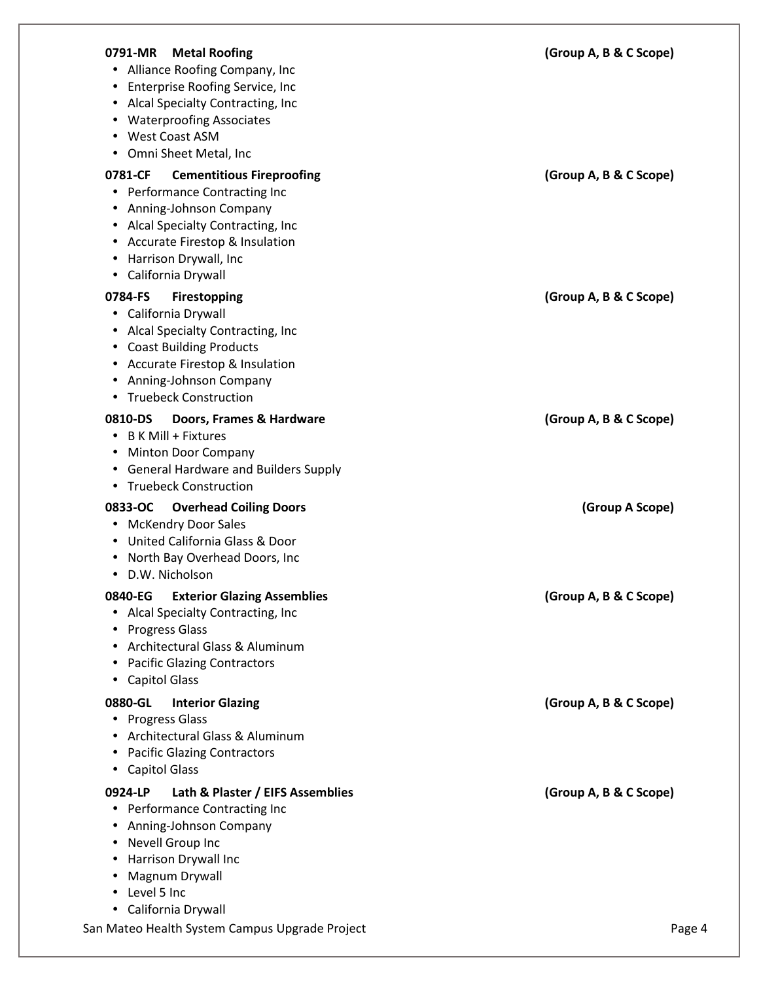| <b>Metal Roofing</b><br>0791-MR<br>• Alliance Roofing Company, Inc<br>Enterprise Roofing Service, Inc<br>Alcal Specialty Contracting, Inc<br>$\bullet$<br><b>Waterproofing Associates</b><br>$\bullet$<br><b>West Coast ASM</b><br>$\bullet$<br>Omni Sheet Metal, Inc                                      | (Group A, B & C Scope) |
|------------------------------------------------------------------------------------------------------------------------------------------------------------------------------------------------------------------------------------------------------------------------------------------------------------|------------------------|
| <b>Cementitious Fireproofing</b><br>0781-CF<br>Performance Contracting Inc<br>$\bullet$<br>Anning-Johnson Company<br>$\bullet$<br>Alcal Specialty Contracting, Inc<br>$\bullet$<br><b>Accurate Firestop &amp; Insulation</b><br>٠<br>Harrison Drywall, Inc<br>$\bullet$<br>California Drywall<br>$\bullet$ | (Group A, B & C Scope) |
| 0784-FS<br><b>Firestopping</b><br>California Drywall<br>$\bullet$<br>Alcal Specialty Contracting, Inc<br>$\bullet$<br><b>Coast Building Products</b><br>$\bullet$<br><b>Accurate Firestop &amp; Insulation</b><br>٠<br>Anning-Johnson Company<br>$\bullet$<br><b>Truebeck Construction</b>                 | (Group A, B & C Scope) |
| 0810-DS<br>Doors, Frames & Hardware<br><b>B K Mill + Fixtures</b><br><b>Minton Door Company</b><br>$\bullet$<br><b>General Hardware and Builders Supply</b><br>$\bullet$<br><b>Truebeck Construction</b><br>$\bullet$                                                                                      | (Group A, B & C Scope) |
| 0833-OC<br><b>Overhead Coiling Doors</b><br>• McKendry Door Sales<br>United California Glass & Door<br>$\bullet$<br>North Bay Overhead Doors, Inc<br>$\bullet$<br>D.W. Nicholson<br>$\bullet$                                                                                                              | (Group A Scope)        |
| 0840-EG Exterior Glazing Assemblies<br>• Alcal Specialty Contracting, Inc<br><b>Progress Glass</b><br>٠<br>Architectural Glass & Aluminum<br><b>Pacific Glazing Contractors</b><br>$\bullet$<br><b>Capitol Glass</b>                                                                                       | (Group A, B & C Scope) |
| 0880-GL<br><b>Interior Glazing</b><br><b>Progress Glass</b><br>$\bullet$<br>Architectural Glass & Aluminum<br><b>Pacific Glazing Contractors</b><br>$\bullet$<br><b>Capitol Glass</b><br>$\bullet$                                                                                                         | (Group A, B & C Scope) |
| 0924-LP<br>Lath & Plaster / EIFS Assemblies<br>Performance Contracting Inc<br>٠<br>Anning-Johnson Company<br>$\bullet$<br>Nevell Group Inc<br>٠<br>Harrison Drywall Inc<br>Magnum Drywall<br>Level 5 Inc<br>$\bullet$                                                                                      | (Group A, B & C Scope) |
| • California Drywall<br>San Mateo Health System Campus Upgrade Project                                                                                                                                                                                                                                     | Page 4                 |
|                                                                                                                                                                                                                                                                                                            |                        |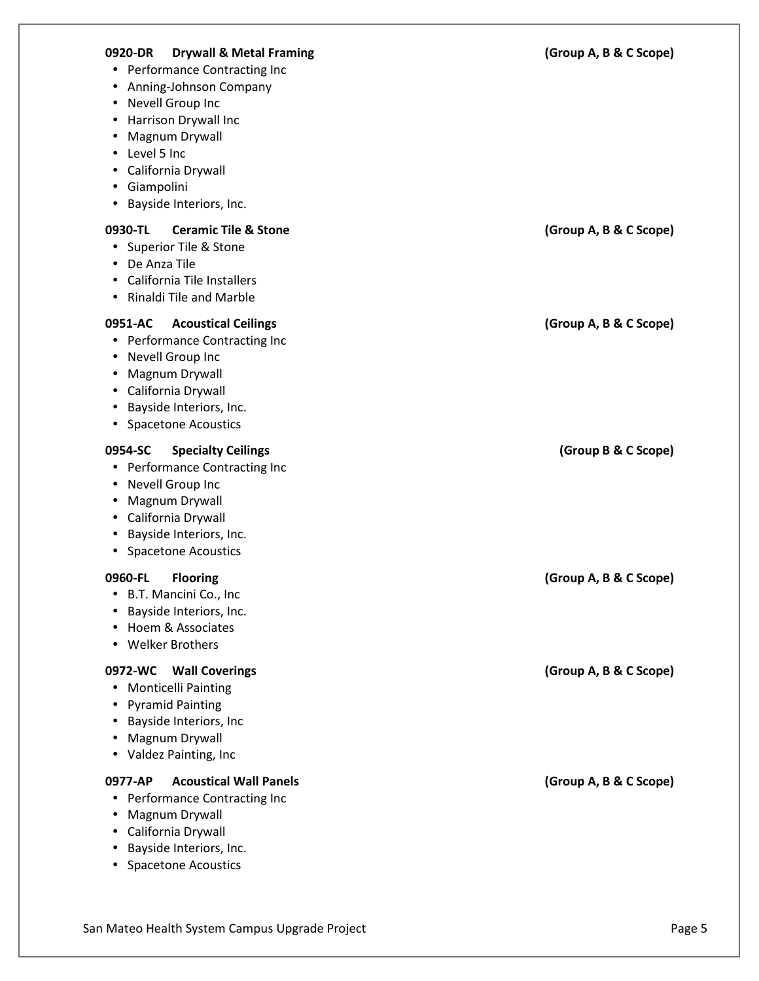| 0920-DR<br><b>Drywall &amp; Metal Framing</b><br>• Performance Contracting Inc<br>Anning-Johnson Company<br>$\bullet$<br>Nevell Group Inc<br>$\bullet$<br>Harrison Drywall Inc<br>$\bullet$<br>Magnum Drywall<br>$\bullet$<br>Level 5 Inc<br>$\bullet$<br>California Drywall<br>٠<br>Giampolini<br>$\bullet$<br>Bayside Interiors, Inc.<br>$\bullet$ | (Group A, B & C Scope) |
|------------------------------------------------------------------------------------------------------------------------------------------------------------------------------------------------------------------------------------------------------------------------------------------------------------------------------------------------------|------------------------|
| <b>Ceramic Tile &amp; Stone</b><br>0930-TL<br>Superior Tile & Stone<br>$\bullet$<br>De Anza Tile<br>$\bullet$<br>California Tile Installers<br>$\bullet$<br>Rinaldi Tile and Marble<br>٠                                                                                                                                                             | (Group A, B & C Scope) |
| <b>Acoustical Ceilings</b><br>0951-AC<br>Performance Contracting Inc<br>$\bullet$<br>Nevell Group Inc<br>$\bullet$<br>Magnum Drywall<br>$\bullet$<br>California Drywall<br>$\bullet$<br>Bayside Interiors, Inc.<br>$\bullet$<br><b>Spacetone Acoustics</b><br>$\bullet$                                                                              | (Group A, B & C Scope) |
| 0954-SC<br><b>Specialty Ceilings</b><br>• Performance Contracting Inc<br>Nevell Group Inc<br>$\bullet$<br>Magnum Drywall<br>$\bullet$<br>California Drywall<br>$\bullet$<br>Bayside Interiors, Inc.<br>$\bullet$<br><b>Spacetone Acoustics</b><br>٠                                                                                                  | (Group B & C Scope)    |
| 0960-FL<br><b>Flooring</b><br>B.T. Mancini Co., Inc<br>$\bullet$<br>Bayside Interiors, Inc.<br>Hoem & Associates<br><b>Welker Brothers</b><br>$\bullet$                                                                                                                                                                                              | (Group A, B & C Scope) |
| 0972-WC<br><b>Wall Coverings</b><br><b>Monticelli Painting</b><br>$\bullet$<br><b>Pyramid Painting</b><br>$\bullet$<br>Bayside Interiors, Inc<br>$\bullet$<br>Magnum Drywall<br>$\bullet$<br>Valdez Painting, Inc<br>$\bullet$                                                                                                                       | (Group A, B & C Scope) |
| <b>Acoustical Wall Panels</b><br>0977-AP<br>Performance Contracting Inc<br>$\bullet$<br>Magnum Drywall<br>$\bullet$<br>California Drywall<br>٠<br>Bayside Interiors, Inc.<br><b>Spacetone Acoustics</b>                                                                                                                                              | (Group A, B & C Scope) |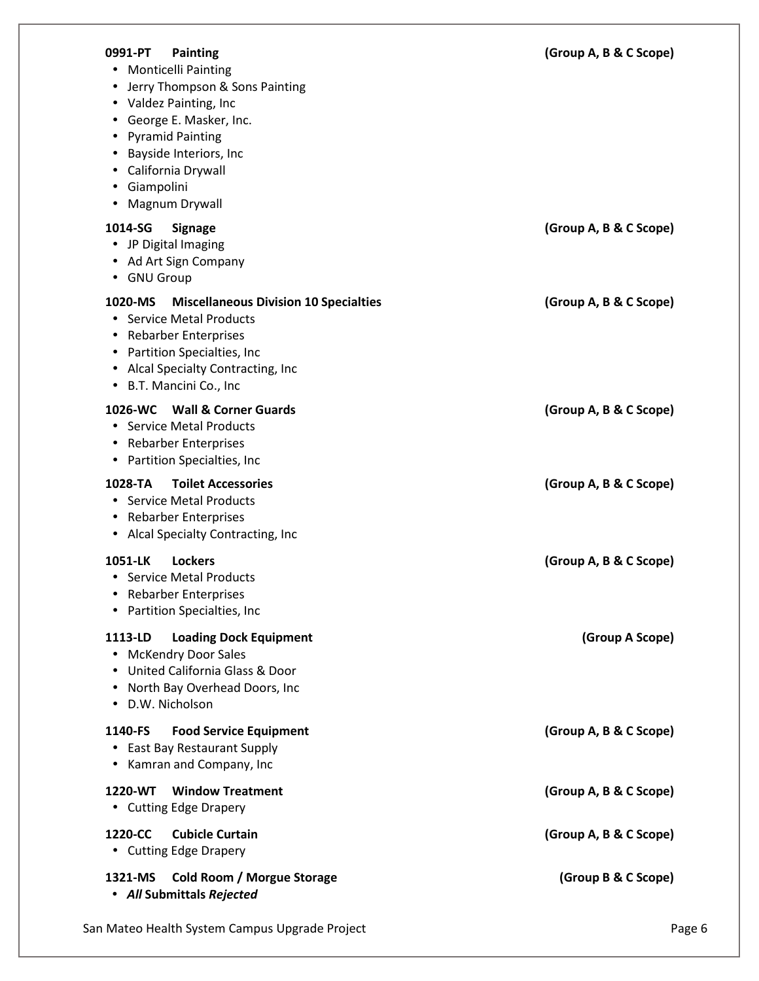| 0991-PT<br><b>Painting</b><br>• Monticelli Painting<br>• Jerry Thompson & Sons Painting<br>• Valdez Painting, Inc<br>• George E. Masker, Inc.<br>• Pyramid Painting<br>Bayside Interiors, Inc<br>• California Drywall<br>· Giampolini<br>Magnum Drywall | (Group A, B & C Scope) |
|---------------------------------------------------------------------------------------------------------------------------------------------------------------------------------------------------------------------------------------------------------|------------------------|
| 1014-SG<br><b>Signage</b><br>• JP Digital Imaging<br>• Ad Art Sign Company<br>• GNU Group                                                                                                                                                               | (Group A, B & C Scope) |
| <b>Miscellaneous Division 10 Specialties</b><br>1020-MS<br>• Service Metal Products<br>• Rebarber Enterprises<br>• Partition Specialties, Inc<br>• Alcal Specialty Contracting, Inc<br>• B.T. Mancini Co., Inc                                          | (Group A, B & C Scope) |
| <b>Wall &amp; Corner Guards</b><br>1026-WC<br>• Service Metal Products<br>• Rebarber Enterprises<br>• Partition Specialties, Inc.                                                                                                                       | (Group A, B & C Scope) |
| <b>Toilet Accessories</b><br>1028-TA<br>• Service Metal Products<br>• Rebarber Enterprises<br>• Alcal Specialty Contracting, Inc                                                                                                                        | (Group A, B & C Scope) |
| 1051-LK<br><b>Lockers</b><br>• Service Metal Products<br>• Rebarber Enterprises<br>• Partition Specialties, Inc.                                                                                                                                        | (Group A, B & C Scope) |
| 1113-LD<br><b>Loading Dock Equipment</b><br>• McKendry Door Sales<br>United California Glass & Door<br>North Bay Overhead Doors, Inc<br>D.W. Nicholson<br>$\bullet$                                                                                     | (Group A Scope)        |
| 1140-FS<br><b>Food Service Equipment</b><br>• East Bay Restaurant Supply<br>• Kamran and Company, Inc                                                                                                                                                   | (Group A, B & C Scope) |
| <b>Window Treatment</b><br>1220-WT<br>• Cutting Edge Drapery                                                                                                                                                                                            | (Group A, B & C Scope) |
| 1220-CC<br><b>Cubicle Curtain</b><br>• Cutting Edge Drapery                                                                                                                                                                                             | (Group A, B & C Scope) |
| 1321-MS<br><b>Cold Room / Morgue Storage</b><br>• All Submittals Rejected                                                                                                                                                                               | (Group B & C Scope)    |
| San Mateo Health System Campus Upgrade Project                                                                                                                                                                                                          | Page 6                 |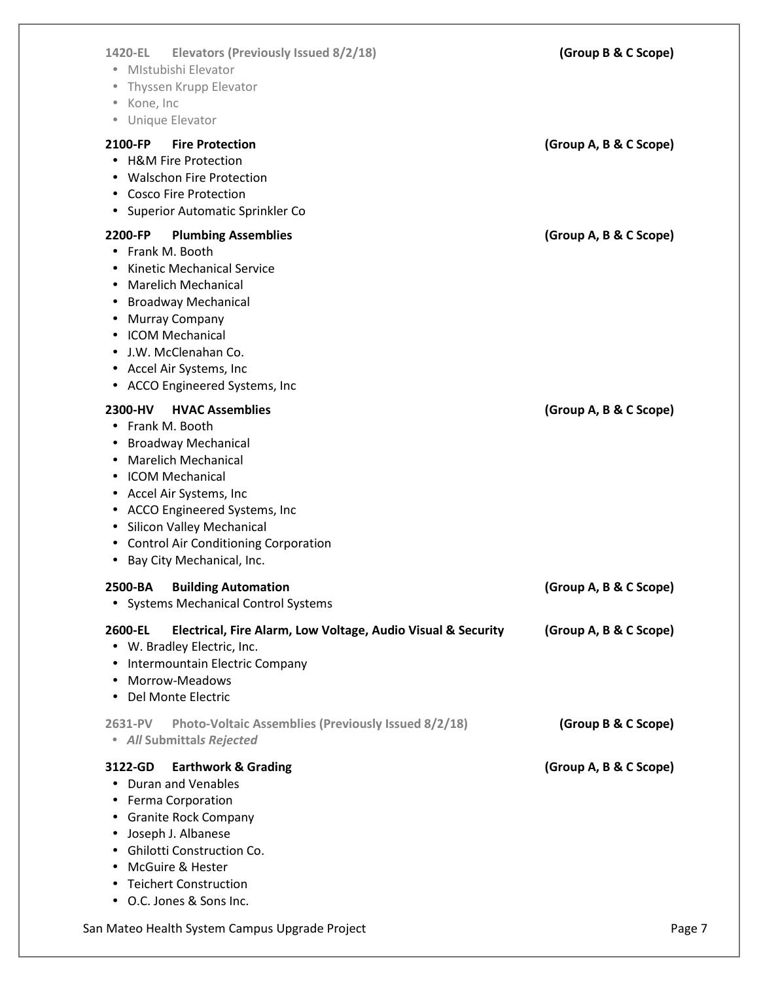| <b>Elevators (Previously Issued 8/2/18)</b><br>1420-EL<br>• Mistubishi Elevator<br>Thyssen Krupp Elevator<br>· Kone, Inc<br>• Unique Elevator                                                                                                                                                                      | (Group B & C Scope)    |
|--------------------------------------------------------------------------------------------------------------------------------------------------------------------------------------------------------------------------------------------------------------------------------------------------------------------|------------------------|
| 2100-FP<br><b>Fire Protection</b><br>• H&M Fire Protection<br>• Walschon Fire Protection<br>• Cosco Fire Protection<br>• Superior Automatic Sprinkler Co                                                                                                                                                           | (Group A, B & C Scope) |
| <b>Plumbing Assemblies</b><br>2200-FP<br>• Frank M. Booth<br><b>Kinetic Mechanical Service</b><br>• Marelich Mechanical<br><b>Broadway Mechanical</b><br>• Murray Company<br>• ICOM Mechanical<br>• J.W. McClenahan Co.<br>• Accel Air Systems, Inc<br>• ACCO Engineered Systems, Inc                              | (Group A, B & C Scope) |
| 2300-HV<br><b>HVAC Assemblies</b><br>• Frank M. Booth<br>• Broadway Mechanical<br><b>Marelich Mechanical</b><br>• ICOM Mechanical<br>• Accel Air Systems, Inc<br>• ACCO Engineered Systems, Inc<br>• Silicon Valley Mechanical<br>• Control Air Conditioning Corporation<br>Bay City Mechanical, Inc.<br>$\bullet$ | (Group A, B & C Scope) |
| <b>Building Automation</b><br>2500-BA<br><b>Systems Mechanical Control Systems</b><br>$\bullet$                                                                                                                                                                                                                    | (Group A, B & C Scope) |
| 2600-EL<br>Electrical, Fire Alarm, Low Voltage, Audio Visual & Security<br>• W. Bradley Electric, Inc.<br>Intermountain Electric Company<br>$\bullet$<br>Morrow-Meadows<br>Del Monte Electric                                                                                                                      | (Group A, B & C Scope) |
| 2631-PV<br>Photo-Voltaic Assemblies (Previously Issued 8/2/18)<br>• All Submittals Rejected                                                                                                                                                                                                                        | (Group B & C Scope)    |
| 3122-GD<br><b>Earthwork &amp; Grading</b><br>• Duran and Venables<br>Ferma Corporation<br><b>Granite Rock Company</b><br>Joseph J. Albanese<br>٠<br>• Ghilotti Construction Co.<br>McGuire & Hester<br>• Teichert Construction<br>• O.C. Jones & Sons Inc.                                                         | (Group A, B & C Scope) |
| San Mateo Health System Campus Upgrade Project                                                                                                                                                                                                                                                                     | Page 7                 |